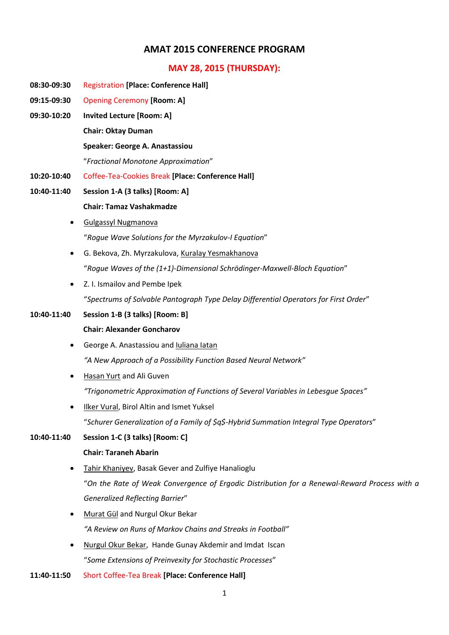# **AMAT 2015 CONFERENCE PROGRAM**

# **MAY 28, 2015 (THURSDAY):**

- **08:30-09:30** Registration **[Place: Conference Hall]**
- **09:15-09:30** Opening Ceremony **[Room: A]**
- **09:30-10:20 Invited Lecture [Room: A] Chair: Oktay Duman Speaker: George A. Anastassiou**

"*Fractional Monotone Approximation*"

- 
- **10:20-10:40** Coffee-Tea-Cookies Break **[Place: Conference Hall]**
- **10:40-11:40 Session 1-A (3 talks) [Room: A] Chair: Tamaz Vashakmadze**
	- Gulgassyl Nugmanova "*Rogue Wave Solutions for the Myrzakulov-I Equation*"
	- G. Bekova, Zh. Myrzakulova, Kuralay Yesmakhanova "*Rogue Waves of the (1+1)-Dimensional Schrödinger-Maxwell-Bloch Equation*"
	- Z. I. Ismailov and Pembe Ipek

"*Spectrums of Solvable Pantograph Type Delay Differential Operators for First Order*"

# **10:40-11:40 Session 1-B (3 talks) [Room: B]**

#### **Chair: Alexander Goncharov**

- George A. Anastassiou and Iuliana Iatan *"A New Approach of a Possibility Function Based Neural Network"*
- Hasan Yurt and Ali Guven

*"Trigonometric Approximation of Functions of Several Variables in Lebesgue Spaces"*

• Ilker Vural, Birol Altin and Ismet Yuksel "*Schurer Generalization of a Family of \$q\$-Hybrid Summation Integral Type Operators*"

#### **10:40-11:40 Session 1-C (3 talks) [Room: C]**

#### **Chair: Taraneh Abarin**

- Tahir Khaniyev, Basak Gever and Zulfiye Hanalioglu "*On the Rate of Weak Convergence of Ergodic Distribution for a Renewal-Reward Process with a Generalized Reflecting Barrier*"
- Murat Gül and Nurgul Okur Bekar *"A Review on Runs of Markov Chains and Streaks in Football"*
- Nurgul Okur Bekar, Hande Gunay Akdemir and Imdat Iscan "*Some Extensions of Preinvexity for Stochastic Processes*"
- **11:40-11:50** Short Coffee-Tea Break **[Place: Conference Hall]**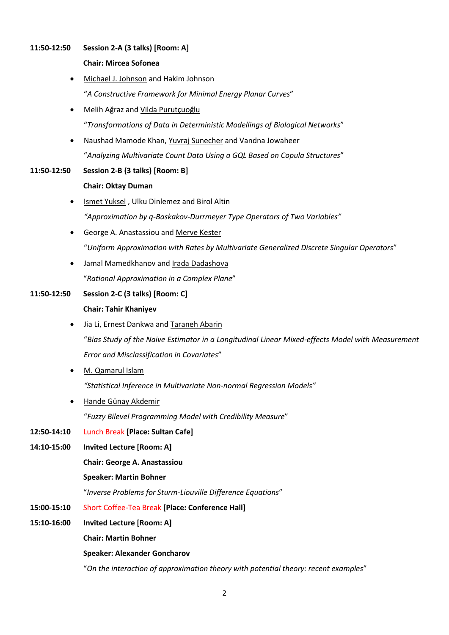#### **11:50-12:50 Session 2-A (3 talks) [Room: A]**

#### **Chair: Mircea Sofonea**

- Michael J. Johnson and Hakim Johnson "*A Constructive Framework for Minimal Energy Planar Curves*"
- Melih Ağraz and Vilda Purutçuoğlu "*Transformations of Data in Deterministic Modellings of Biological Networks*"
- Naushad Mamode Khan, Yuvraj Sunecher and Vandna Jowaheer "*Analyzing Multivariate Count Data Using a GQL Based on Copula Structures*"
- **11:50-12:50 Session 2-B (3 talks) [Room: B]**

#### **Chair: Oktay Duman**

- Ismet Yuksel , Ulku Dinlemez and Birol Altin *"Approximation by q-Baskakov-Durrmeyer Type Operators of Two Variables"*
- George A. Anastassiou and Merve Kester "*Uniform Approximation with Rates by Multivariate Generalized Discrete Singular Operators*"
- Jamal Mamedkhanov and Irada Dadashova "*Rational Approximation in a Complex Plane*"

# **11:50-12:50 Session 2-C (3 talks) [Room: C]**

## **Chair: Tahir Khaniyev**

- Jia Li, Ernest Dankwa and Taraneh Abarin "*Bias Study of the Naive Estimator in a Longitudinal Linear Mixed-effects Model with Measurement Error and Misclassification in Covariates*"
- M. Qamarul Islam

*"Statistical Inference in Multivariate Non-normal Regression Models"*

Hande Günay Akdemir

"*Fuzzy Bilevel Programming Model with Credibility Measure*"

- **12:50-14:10** Lunch Break **[Place: Sultan Cafe]**
- **14:10-15:00 Invited Lecture [Room: A]**

**Chair: George A. Anastassiou**

#### **Speaker: Martin Bohner**

"*Inverse Problems for Sturm-Liouville Difference Equations*"

- **15:00-15:10** Short Coffee-Tea Break **[Place: Conference Hall]**
- **15:10-16:00 Invited Lecture [Room: A]**

**Chair: Martin Bohner**

#### **Speaker: Alexander Goncharov**

"*On the interaction of approximation theory with potential theory: recent examples*"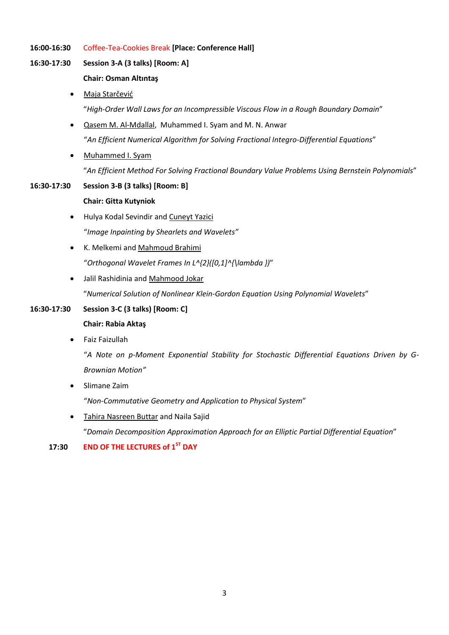- **16:00-16:30** Coffee-Tea-Cookies Break **[Place: Conference Hall]**
- **16:30-17:30 Session 3-A (3 talks) [Room: A]**

#### **Chair: Osman Altıntaş**

- Maja Starčević "*High-Order Wall Laws for an Incompressible Viscous Flow in a Rough Boundary Domain*"
- Qasem M. Al-Mdallal, Muhammed I. Syam and M. N. Anwar "*An Efficient Numerical Algorithm for Solving Fractional Integro-Differential Equations*"
- Muhammed I. Syam "*An Efficient Method For Solving Fractional Boundary Value Problems Using Bernstein Polynomials*"

#### **16:30-17:30 Session 3-B (3 talks) [Room: B]**

#### **Chair: Gitta Kutyniok**

- Hulya Kodal Sevindir and Cuneyt Yazici "*Image Inpainting by Shearlets and Wavelets"*
- K. Melkemi and Mahmoud Brahimi "*Orthogonal Wavelet Frames In L^{2}([0,1]^{\lambda })*"
- Jalil Rashidinia and Mahmood Jokar

"*Numerical Solution of Nonlinear Klein-Gordon Equation Using Polynomial Wavelets*"

# **16:30-17:30 Session 3-C (3 talks) [Room: C] Chair: Rabia Aktaş**

Faiz Faizullah

"*A Note on p-Moment Exponential Stability for Stochastic Differential Equations Driven by G-Brownian Motion"*

Slimane Zaim

"*Non-Commutative Geometry and Application to Physical System*"

 Tahira Nasreen Buttar and Naila Sajid "*Domain Decomposition Approximation Approach for an Elliptic Partial Differential Equation*"

#### **17:30 END OF THE LECTURES of 1ST DAY**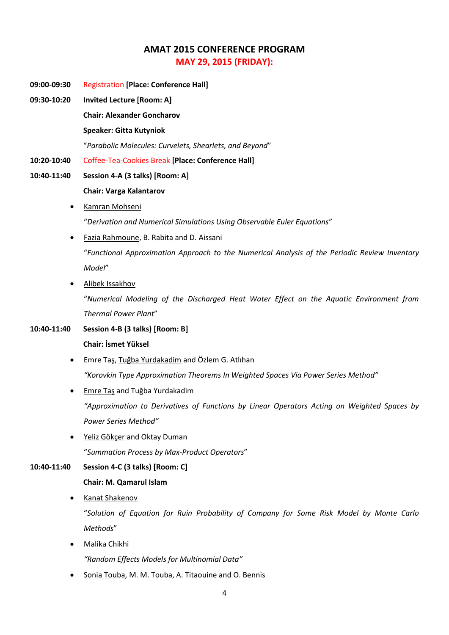# **AMAT 2015 CONFERENCE PROGRAM MAY 29, 2015 (FRIDAY):**

- **09:00-09:30** Registration **[Place: Conference Hall]**
- **09:30-10:20 Invited Lecture [Room: A]**

**Chair: Alexander Goncharov**

#### **Speaker: Gitta Kutyniok**

"*Parabolic Molecules: Curvelets, Shearlets, and Beyond*"

**10:20-10:40** Coffee-Tea-Cookies Break **[Place: Conference Hall]**

# **10:40-11:40 Session 4-A (3 talks) [Room: A] Chair: Varga Kalantarov**

- Kamran Mohseni "*Derivation and Numerical Simulations Using Observable Euler Equations*"
- Fazia Rahmoune, B. Rabita and D. Aissani "*Functional Approximation Approach to the Numerical Analysis of the Periodic Review Inventory Model*"
- Alibek Issakhov

"*Numerical Modeling of the Discharged Heat Water Effect on the Aquatic Environment from Thermal Power Plant*"

## **10:40-11:40 Session 4-B (3 talks) [Room: B]**

#### **Chair: İsmet Yüksel**

- Emre Taş, Tuğba Yurdakadim and Özlem G. Atlıhan *"Korovkin Type Approximation Theorems In Weighted Spaces Via Power Series Method"*
- Emre Taş and Tuğba Yurdakadim *"Approximation to Derivatives of Functions by Linear Operators Acting on Weighted Spaces by Power Series Method"*
- Yeliz Gökçer and Oktay Duman "*Summation Process by Max-Product Operators*"

# **10:40-11:40 Session 4-C (3 talks) [Room: C]**

#### **Chair: M. Qamarul Islam**

• Kanat Shakenov

"*Solution of Equation for Ruin Probability of Company for Some Risk Model by Monte Carlo Methods*"

Malika Chikhi

*"Random Effects Models for Multinomial Data"*

Sonia Touba, M. M. Touba, A. Titaouine and O. Bennis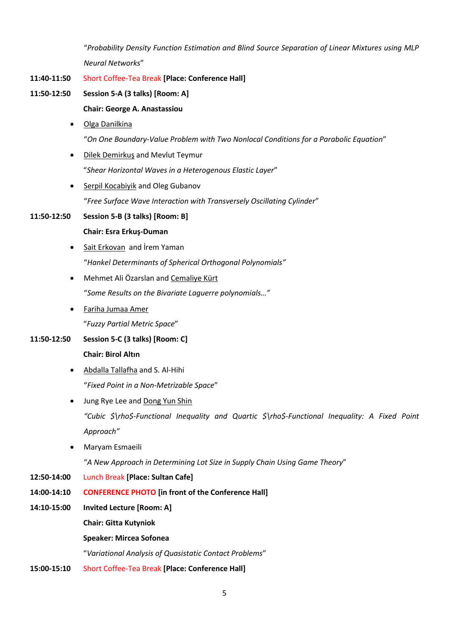"*Probability Density Function Estimation and Blind Source Separation of Linear Mixtures using MLP Neural Networks*"

- **11:40-11:50** Short Coffee-Tea Break **[Place: Conference Hall]**
- **11:50-12:50 Session 5-A (3 talks) [Room: A]**

## **Chair: George A. Anastassiou**

- Olga Danilkina "*On One Boundary-Value Problem with Two Nonlocal Conditions for a Parabolic Equation*"
- Dilek Demirkuş and Mevlut Teymur "*Shear Horizontal Waves in a Heterogenous Elastic Layer*"
- Serpil Kocabiyik and Oleg Gubanov

"*Free Surface Wave Interaction with Transversely Oscillating Cylinder*"

#### **11:50-12:50 Session 5-B (3 talks) [Room: B]**

#### **Chair: Esra Erkuş-Duman**

- Sait Erkovan and İrem Yaman "*Hankel Determinants of Spherical Orthogonal Polynomials"*
- Mehmet Ali Özarslan and Cemaliye Kürt "*Some Results on the Bivariate Laguerre polynomials…"*
- Fariha Jumaa Amer

"*Fuzzy Partial Metric Space*"

# **11:50-12:50 Session 5-C (3 talks) [Room: C]**

- **Chair: Birol Altın**
- Abdalla Tallafha and S. Al-Hihi "*Fixed Point in a Non-Metrizable Space*"
- Jung Rye Lee and Dong Yun Shin

*"Cubic \$\rho\$-Functional Inequality and Quartic \$\rho\$-Functional Inequality: A Fixed Point Approach"*

Maryam Esmaeili

"*A New Approach in Determining Lot Size in Supply Chain Using Game Theory*"

- **12:50-14:00** Lunch Break **[Place: Sultan Cafe]**
- **14:00-14:10 CONFERENCE PHOTO [in front of the Conference Hall]**
- **14:10-15:00 Invited Lecture [Room: A]**
	- **Chair: Gitta Kutyniok**

## **Speaker: Mircea Sofonea**

"*Variational Analysis of Quasistatic Contact Problems*"

**15:00-15:10** Short Coffee-Tea Break **[Place: Conference Hall]**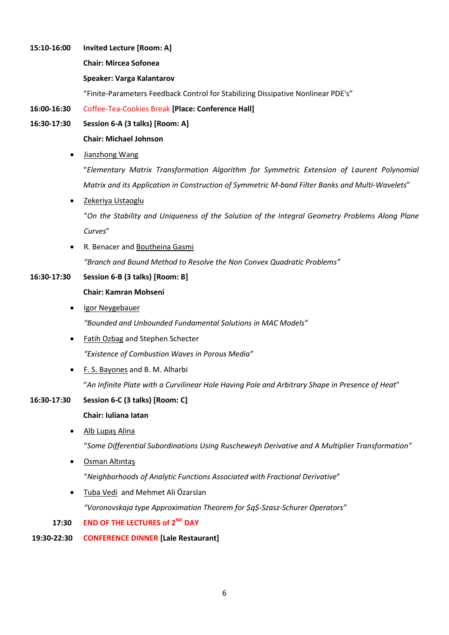**15:10-16:00 Invited Lecture [Room: A]**

## **Chair: Mircea Sofonea**

#### **Speaker: Varga Kalantarov**

"Finite-Parameters Feedback Control for Stabilizing Dissipative Nonlinear PDE's"

#### **16:00-16:30** Coffee-Tea-Cookies Break **[Place: Conference Hall]**

**16:30-17:30 Session 6-A (3 talks) [Room: A]**

## **Chair: Michael Johnson**

Jianzhong Wang

"*Elementary Matrix Transformation Algorithm for Symmetric Extension of Laurent Polynomial Matrix and its Application in Construction of Symmetric M-band Filter Banks and Multi-Wavelets*"

Zekeriya Ustaoglu

"*On the Stability and Uniqueness of the Solution of the Integral Geometry Problems Along Plane Curves*"

 R. Benacer and Boutheina Gasmi *"Branch and Bound Method to Resolve the Non Convex Quadratic Problems"*

## **16:30-17:30 Session 6-B (3 talks) [Room: B]**

#### **Chair: Kamran Mohseni**

Igor Neygebauer

*"Bounded and Unbounded Fundamental Solutions in MAC Models"*

- Fatih Ozbag and Stephen Schecter *"Existence of Combustion Waves in Porous Media"*
- F. S. Bayones and B. M. Alharbi

"*An Infinite Plate with a Curvilinear Hole Having Pole and Arbitrary Shape in Presence of Heat*"

#### **16:30-17:30 Session 6-C (3 talks) [Room: C]**

#### **Chair: Iuliana Iatan**

Alb Lupaş Alina

"*Some Differential Subordinations Using Ruscheweyh Derivative and A Multiplier Transformation"*

Osman Altıntaş

"*Neighborhoods of Analytic Functions Associated with Fractional Derivative*"

Tuba Vedi and Mehmet Ali Özarslan

*"Voronovskaja type Approximation Theorem for \$q\$-Szasz-Schurer Operators"*

 **17:30 END OF THE LECTURES of 2ND DAY**

# **19:30-22:30 CONFERENCE DINNER [Lale Restaurant]**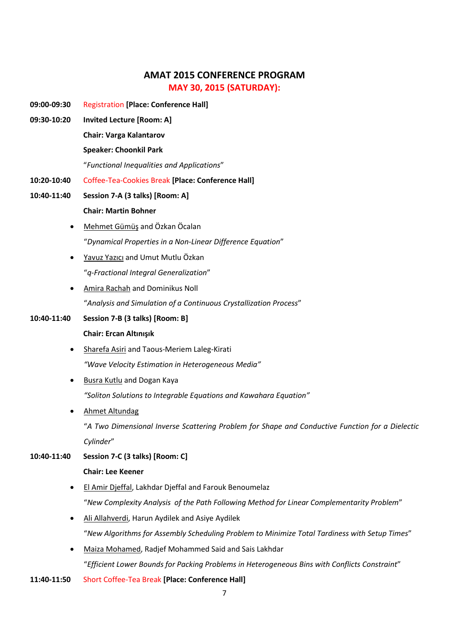# **AMAT 2015 CONFERENCE PROGRAM MAY 30, 2015 (SATURDAY):**

- **09:00-09:30** Registration **[Place: Conference Hall]**
- **09:30-10:20 Invited Lecture [Room: A]**

**Chair: Varga Kalantarov**

#### **Speaker: Choonkil Park**

"*Functional Inequalities and Applications*"

- **10:20-10:40** Coffee-Tea-Cookies Break **[Place: Conference Hall]**
- **10:40-11:40 Session 7-A (3 talks) [Room: A] Chair: Martin Bohner**
	- Mehmet Gümüş and Özkan Öcalan "*Dynamical Properties in a Non-Linear Difference Equation*"
	- Yavuz Yazıcı and Umut Mutlu Özkan "*q-Fractional Integral Generalization*"
	- Amira Rachah and Dominikus Noll "*Analysis and Simulation of a Continuous Crystallization Process*"

#### **10:40-11:40 Session 7-B (3 talks) [Room: B]**

#### **Chair: Ercan Altınışık**

- Sharefa Asiri and Taous-Meriem Laleg-Kirati *"Wave Velocity Estimation in Heterogeneous Media"*
- Busra Kutlu and Dogan Kaya

*"Soliton Solutions to Integrable Equations and Kawahara Equation"*

Ahmet Altundag

"*A Two Dimensional Inverse Scattering Problem for Shape and Conductive Function for a Dielectic Cylinder*"

#### **10:40-11:40 Session 7-C (3 talks) [Room: C]**

#### **Chair: Lee Keener**

- El Amir Djeffal, Lakhdar Djeffal and Farouk Benoumelaz "*New Complexity Analysis of the Path Following Method for Linear Complementarity Problem*"
- Ali Allahverdi, Harun Aydilek and Asiye Aydilek "*New Algorithms for Assembly Scheduling Problem to Minimize Total Tardiness with Setup Times*"
- Maiza Mohamed, Radjef Mohammed Said and Sais Lakhdar "*Efficient Lower Bounds for Packing Problems in Heterogeneous Bins with Conflicts Constraint*"
- **11:40-11:50** Short Coffee-Tea Break **[Place: Conference Hall]**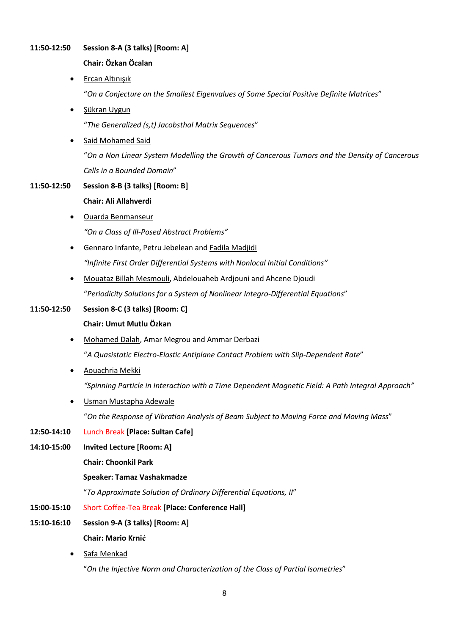## **11:50-12:50 Session 8-A (3 talks) [Room: A]**

## **Chair: Özkan Öcalan**

Ercan Altınışık

"*On a Conjecture on the Smallest Eigenvalues of Some Special Positive Definite Matrices*"

Şükran Uygun

"*The Generalized (s,t) Jacobsthal Matrix Sequences*"

Said Mohamed Said

"*On a Non Linear System Modelling the Growth of Cancerous Tumors and the Density of Cancerous Cells in a Bounded Domain*"

## **11:50-12:50 Session 8-B (3 talks) [Room: B]**

#### **Chair: Ali Allahverdi**

- Ouarda Benmanseur *"On a Class of Ill-Posed Abstract Problems"*
- **•** Gennaro Infante, Petru Jebelean and Fadila Madjidi *"Infinite First Order Differential Systems with Nonlocal Initial Conditions"*
- Mouataz Billah Mesmouli, Abdelouaheb Ardjouni and Ahcene Djoudi "*Periodicity Solutions for a System of Nonlinear Integro-Differential Equations*"

# **11:50-12:50 Session 8-C (3 talks) [Room: C]**

# **Chair: Umut Mutlu Özkan**

- Mohamed Dalah, Amar Megrou and Ammar Derbazi "*A Quasistatic Electro-Elastic Antiplane Contact Problem with Slip-Dependent Rate*"
- Aouachria Mekki

*"Spinning Particle in Interaction with a Time Dependent Magnetic Field: A Path Integral Approach"*

Usman Mustapha Adewale

"*On the Response of Vibration Analysis of Beam Subject to Moving Force and Moving Mass*"

#### **12:50-14:10** Lunch Break **[Place: Sultan Cafe]**

**14:10-15:00 Invited Lecture [Room: A]**

**Chair: Choonkil Park**

#### **Speaker: Tamaz Vashakmadze**

"*To Approximate Solution of Ordinary Differential Equations, II*"

- **15:00-15:10** Short Coffee-Tea Break **[Place: Conference Hall]**
- **15:10-16:10 Session 9-A (3 talks) [Room: A]**

# **Chair: Mario Krnić**

Safa Menkad

"*On the Injective Norm and Characterization of the Class of Partial Isometries*"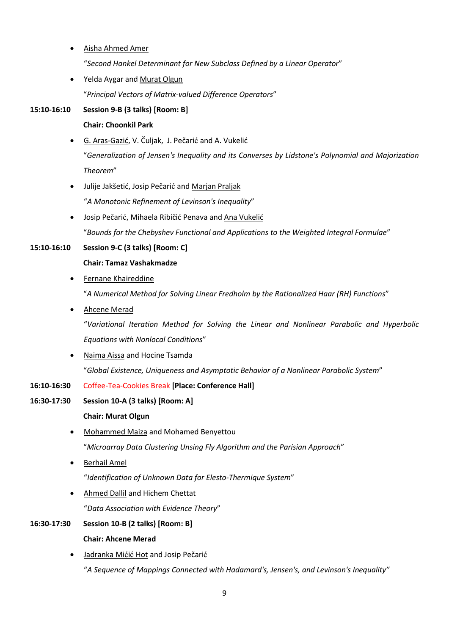- Aisha Ahmed Amer "*Second Hankel Determinant for New Subclass Defined by a Linear Operator*"
- Yelda Aygar and Murat Olgun

"*Principal Vectors of Matrix-valued Difference Operators*"

## **15:10-16:10 Session 9-B (3 talks) [Room: B]**

#### **Chair: Choonkil Park**

- G. Aras-Gazić, V. Čuljak, J. Pečarić and A. Vukelić "*Generalization of Jensen's Inequality and its Converses by Lidstone's Polynomial and Majorization Theorem*"
- Julije Jakšetić, Josip Pečarić and Marjan Praljak "*A Monotonic Refinement of Levinson's Inequality*"
- Josip Pečarić, Mihaela Ribičić Penava and Ana Vukelić "*Bounds for the Chebyshev Functional and Applications to the Weighted Integral Formulae*"

## **15:10-16:10 Session 9-C (3 talks) [Room: C]**

#### **Chair: Tamaz Vashakmadze**

**•** Fernane Khaireddine

"*A Numerical Method for Solving Linear Fredholm by the Rationalized Haar (RH) Functions*"

Ahcene Merad

"*Variational Iteration Method for Solving the Linear and Nonlinear Parabolic and Hyperbolic Equations with Nonlocal Conditions*"

 Naima Aissa and Hocine Tsamda "*Global Existence, Uniqueness and Asymptotic Behavior of a Nonlinear Parabolic System*"

#### **16:10-16:30** Coffee-Tea-Cookies Break **[Place: Conference Hall]**

**16:30-17:30 Session 10-A (3 talks) [Room: A]**

#### **Chair: Murat Olgun**

- Mohammed Maiza and Mohamed Benyettou "*Microarray Data Clustering Unsing Fly Algorithm and the Parisian Approach*"
- **•** Berhail Amel

"*Identification of Unknown Data for Elesto-Thermique System*"

 Ahmed Dallil and Hichem Chettat "*Data Association with Evidence Theory*"

# **16:30-17:30 Session 10-B (2 talks) [Room: B] Chair: Ahcene Merad**

• Jadranka Mićić Hot and Josip Pečarić "*A Sequence of Mappings Connected with Hadamard's, Jensen's, and Levinson's Inequality"*